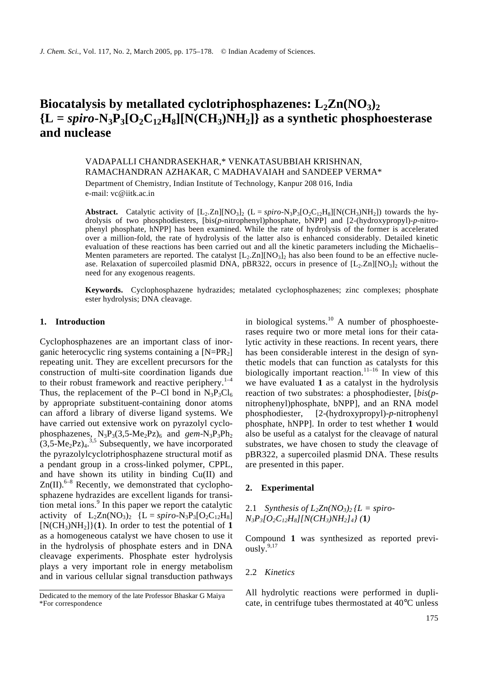# Biocatalysis by metallated cyclotriphosphazenes:  $L_2 Zn(NO_3)$  ${L = spiro \cdot N_3P_3[O_2C_{12}H_8][N(CH_3)NH_2]}$  as a synthetic phosphoesterase **and nuclease**

# VADAPALLI CHANDRASEKHAR,\* VENKATASUBBIAH KRISHNAN, RAMACHANDRAN AZHAKAR, C MADHAVAIAH and SANDEEP VERMA\*

Department of Chemistry, Indian Institute of Technology, Kanpur 208 016, India e-mail: vc@iitk.ac.in

**Abstract.** Catalytic activity of  $[L_2.Zn][NO_3]_2$  ( $L = spiro-N_3P_3[O_2C_{12}H_8][N(CH_3)NH_2]$ ) towards the hydrolysis of two phosphodiesters, [bis(*p*-nitrophenyl)phosphate, bNPP] and [2-(hydroxypropyl)-*p*-nitrophenyl phosphate, hNPP] has been examined. While the rate of hydrolysis of the former is accelerated over a million-fold, the rate of hydrolysis of the latter also is enhanced considerably. Detailed kinetic evaluation of these reactions has been carried out and all the kinetic parameters including the Michaelis– Menten parameters are reported. The catalyst  $[L_2.Zn][NO_3]_2$  has also been found to be an effective nuclease. Relaxation of supercoiled plasmid DNA, pBR322, occurs in presence of  $[L_2.Zn][NO_3]_2$  without the need for any exogenous reagents.

**Keywords.** Cyclophosphazene hydrazides; metalated cyclophosphazenes; zinc complexes; phosphate ester hydrolysis; DNA cleavage.

## **1. Introduction**

Cyclophosphazenes are an important class of inorganic heterocyclic ring systems containing a  $[N=PR_2]$ repeating unit. They are excellent precursors for the construction of multi-site coordination ligands due to their robust framework and reactive periphery. $1-4$ Thus, the replacement of the P–Cl bond in  $N_3P_3Cl_6$ by appropriate substituent-containing donor atoms can afford a library of diverse ligand systems. We have carried out extensive work on pyrazolyl cyclophosphazenes,  $N_3P_3(3,5-Me_2Pz)_6$  and  $\gamma_3P_3Ph_2$  $(3,5 \text{-Me}_2\text{Pz})$ <sup>3,5</sup> Subsequently, we have incorporated the pyrazolylcyclotriphosphazene structural motif as a pendant group in a cross-linked polymer, CPPL, and have shown its utility in binding Cu(II) and  $Zn(II)$ .<sup>6-8</sup> Recently, we demonstrated that cyclophosphazene hydrazides are excellent ligands for transition metal ions.<sup>9</sup> In this paper we report the catalytic activity of  $L_2Zn(NO_3)_2$  { $L = spiro-N_3P_3[O_2C_{12}H_8]$  $[N(CH_3)NH_2]/(1)$ . In order to test the potential of 1 as a homogeneous catalyst we have chosen to use it in the hydrolysis of phosphate esters and in DNA cleavage experiments. Phosphate ester hydrolysis plays a very important role in energy metabolism and in various cellular signal transduction pathways

in biological systems.<sup>10</sup> A number of phosphoesterases require two or more metal ions for their catalytic activity in these reactions. In recent years, there has been considerable interest in the design of synthetic models that can function as catalysts for this biologically important reaction.<sup>11–16</sup> In view of this we have evaluated **1** as a catalyst in the hydrolysis reaction of two substrates: a phosphodiester, [*bis*(*p*nitrophenyl)phosphate, bNPP], and an RNA model phosphodiester, [2-(hydroxypropyl)-*p*-nitrophenyl phosphate, hNPP]. In order to test whether **1** would also be useful as a catalyst for the cleavage of natural substrates, we have chosen to study the cleavage of pBR322, a supercoiled plasmid DNA. These results are presented in this paper.

## **2. Experimental**

2.1 *Synthesis of*  $L_2 Z n (N O_3)_2 / L =$  *<i>spiro-N3P3[O2C12H8][N(CH3)NH2]4} (***1***)*

Compound **1** was synthesized as reported previously. $9,17$ 

## 2.2 *Kinetics*

All hydrolytic reactions were performed in duplicate, in centrifuge tubes thermostated at 40°C unless

Dedicated to the memory of the late Professor Bhaskar G Maiya \*For correspondence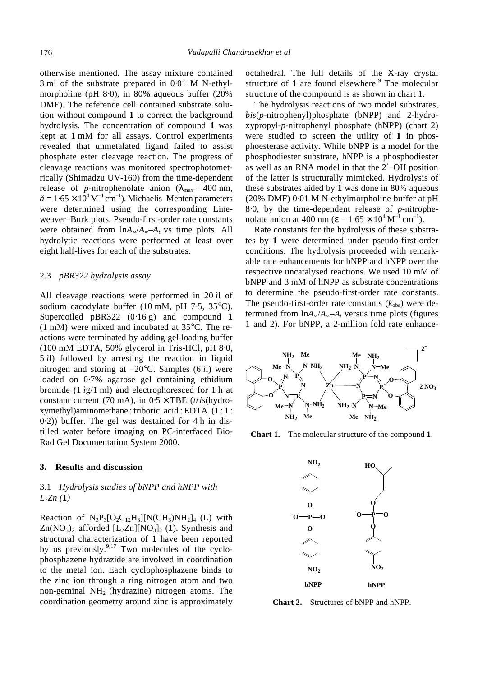otherwise mentioned. The assay mixture contained 3 ml of the substrate prepared in 0⋅01 M N-ethylmorpholine (pH 8⋅0), in 80% aqueous buffer (20% DMF). The reference cell contained substrate solution without compound **1** to correct the background hydrolysis. The concentration of compound **1** was kept at 1 mM for all assays. Control experiments revealed that unmetalated ligand failed to assist phosphate ester cleavage reaction. The progress of cleavage reactions was monitored spectrophotometrically (Shimadzu UV-160) from the time-dependent release of *p*-nitrophenolate anion ( $l_{\text{max}} = 400 \text{ nm}$ ,  $\hat{a} = 1.65 \times 10^4 \,\mathrm{M}^{-1} \,\mathrm{cm}^{-1}$ ). Michaelis–Menten parameters were determined using the corresponding Lineweaver–Burk plots. Pseudo-first-order rate constants were obtained from ln*A*∝/*A*∝–*A<sup>t</sup>* vs time plots. All hydrolytic reactions were performed at least over eight half-lives for each of the substrates.

#### 2.3 *pBR322 hydrolysis assay*

All cleavage reactions were performed in 20 *ì*l of sodium cacodylate buffer (10 mM, pH 7⋅5, 35°C). Supercoiled pBR322 (0⋅16 g) and compound **1** (1 mM) were mixed and incubated at 35°C. The reactions were terminated by adding gel-loading buffer (100 mM EDTA, 50% glycerol in Tris-HCl, pH 8⋅0, 5 *ì*l) followed by arresting the reaction in liquid nitrogen and storing at –20°C. Samples (6 *ì*l) were loaded on 0⋅7% agarose gel containing ethidium bromide (1 *ì*g/1 ml) and electrophoresced for 1 h at constant current (70 mA), in 0⋅5 × TBE (*tris*(hydroxymethyl)aminomethane : triboric acid : EDTA (1 : 1 : 0⋅2)) buffer. The gel was destained for 4 h in distilled water before imaging on PC-interfaced Bio-Rad Gel Documentation System 2000.

## **3. Results and discussion**

## 3.1 *Hydrolysis studies of bNPP and hNPP with L2Zn (***1***)*

Reaction of  $N_3P_3[O_2C_{12}H_8][N(CH_3)NH_2]_4$  (L) with Zn(NO<sub>3</sub>)<sub>2</sub> afforded [L<sub>2</sub>Zn][NO<sub>3</sub>]<sub>2</sub> (1). Synthesis and structural characterization of **1** have been reported by us previously. $9,17$  Two molecules of the cyclophosphazene hydrazide are involved in coordination to the metal ion. Each cyclophosphazene binds to the zinc ion through a ring nitrogen atom and two non-geminal  $NH<sub>2</sub>$  (hydrazine) nitrogen atoms. The coordination geometry around zinc is approximately octahedral. The full details of the X-ray crystal structure of 1 are found elsewhere.<sup>9</sup> The molecular structure of the compound is as shown in chart 1.

The hydrolysis reactions of two model substrates, *bis*(*p*-nitrophenyl)phosphate (bNPP) and 2-hydroxypropyl-*p*-nitrophenyl phosphate (hNPP) (chart 2) were studied to screen the utility of **1** in phosphoesterase activity. While bNPP is a model for the phosphodiester substrate, hNPP is a phosphodiester as well as an RNA model in that the 2′–OH position of the latter is structurally mimicked. Hydrolysis of these substrates aided by **1** was done in 80% aqueous (20% DMF) 0⋅01 M N-ethylmorpholine buffer at pH 8⋅0, by the time-dependent release of *p*-nitrophenolate anion at 400 nm ( $e = 1.65 \times 10^4 \,\mathrm{M}^{-1} \,\mathrm{cm}^{-1}$ ).

Rate constants for the hydrolysis of these substrates by **1** were determined under pseudo-first-order conditions. The hydrolysis proceeded with remarkable rate enhancements for bNPP and hNPP over the respective uncatalysed reactions. We used 10 mM of bNPP and 3 mM of hNPP as substrate concentrations to determine the pseudo-first-order rate constants. The pseudo-first-order rate constants  $(k_{obs})$  were determined from ln*A*∝/*A*∝–*A<sup>t</sup>* versus time plots (figures 1 and 2). For bNPP, a 2-million fold rate enhance-



**Chart 1.** The molecular structure of the compound **1**.



**Chart 2.** Structures of bNPP and hNPP.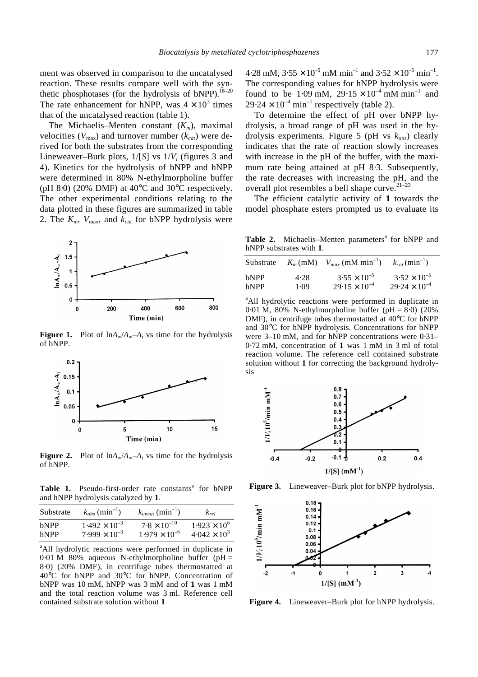ment was observed in comparison to the uncatalysed reaction. These results compare well with the synthetic phosphotases (for the hydrolysis of bNPP).<sup>18–20</sup> The rate enhancement for hNPP, was  $4 \times 10^3$  times that of the uncatalysed reaction (table 1).

The Michaelis–Menten constant (*Km*), maximal velocities ( $V_{\text{max}}$ ) and turnover number ( $k_{cat}$ ) were derived for both the substrates from the corresponding Lineweaver–Burk plots, 1/[*S*] vs 1/*V<sup>i</sup>* (figures 3 and 4). Kinetics for the hydrolysis of bNPP and hNPP were determined in 80% N-ethylmorpholine buffer (pH 8⋅0) (20% DMF) at 40 $\degree$ C and 30 $\degree$ C respectively. The other experimental conditions relating to the data plotted in these figures are summarized in table 2. The  $K_m$ ,  $V_{\text{max}}$ , and  $k_{cat}$  for bNPP hydrolysis were



**Figure 1.** Plot of  $\ln A_{\infty}/A_{\infty}-A_t$  vs time for the hydrolysis of bNPP.



**Figure 2.** Plot of  $\ln A_{\infty}/A_{\infty}-A_t$  vs time for the hydrolysis of hNPP.

Table 1. Pseudo-first-order rate constants<sup>a</sup> for bNPP and hNPP hydrolysis catalyzed by **1**.

| Substrate   | $k_{obs}$ (min <sup>-1</sup> ) | $k_{uncat}$ (min <sup>-1</sup> ) | $k_{rel}$             |
|-------------|--------------------------------|----------------------------------|-----------------------|
| <b>bNPP</b> | $1.492 \times 10^{-3}$         | $7.8 \times 10^{-10}$            | $1.923 \times 10^{6}$ |
| hNPP        | $7.999 \times 10^{-3}$         | $1.979 \times 10^{-6}$           | $4.042 \times 10^{3}$ |

<sup>a</sup>All hydrolytic reactions were performed in duplicate in 0⋅01 M 80% aqueous N-ethylmorpholine buffer (pH = 8⋅0) (20% DMF), in centrifuge tubes thermostatted at 40°C for bNPP and 30°C for hNPP. Concentration of bNPP was 10 mM, hNPP was 3 mM and of **1** was 1 mM and the total reaction volume was 3 ml. Reference cell contained substrate solution without **1**

4⋅28 mM,  $3.55 \times 10^{-5}$  mM min<sup>-1</sup> and  $3.52 \times 10^{-5}$  min<sup>-1</sup>. The corresponding values for hNPP hydrolysis were found to be 1.09 mM,  $29.15 \times 10^{-4}$  mM min<sup>-1</sup> and  $29.24 \times 10^{-4}$  min<sup>-1</sup> respectively (table 2).

To determine the effect of pH over bNPP hydrolysis, a broad range of pH was used in the hydrolysis experiments. Figure 5 (pH vs  $k_{obs}$ ) clearly indicates that the rate of reaction slowly increases with increase in the pH of the buffer, with the maximum rate being attained at pH 8⋅3. Subsequently, the rate decreases with increasing the pH, and the overall plot resembles a bell shape curve.  $21-23$ 

The efficient catalytic activity of **1** towards the model phosphate esters prompted us to evaluate its

Table 2. Michaelis–Menten parameters<sup>a</sup> for bNPP and hNPP substrates with **1**.

| Substrate   | $K_m$ (mM) | $V_{max}$ (mM min <sup>-1</sup> ) | $k_{cat}$ (min <sup>-1</sup> ) |
|-------------|------------|-----------------------------------|--------------------------------|
| <b>bNPP</b> | 4.28       | $3.55 \times 10^{-5}$             | $3.52 \times 10^{-5}$          |
| hNPP        | 1.09       | $29.15 \times 10^{-4}$            | $29.24 \times 10^{-4}$         |

<sup>a</sup>All hydrolytic reactions were performed in duplicate in 0⋅01 M, 80% N-ethylmorpholine buffer (pH = 8⋅0) (20% DMF), in centrifuge tubes thermostatted at 40°C for bNPP and 30°C for hNPP hydrolysis. Concentrations for bNPP were 3–10 mM, and for hNPP concentrations were 0⋅31– 0⋅72 mM, concentration of **1** was 1 mM in 3 ml of total reaction volume. The reference cell contained substrate solution without **1** for correcting the background hydrolysis



**Figure 3.** Lineweaver–Burk plot for bNPP hydrolysis.



**Figure 4.** Lineweaver–Burk plot for hNPP hydrolysis.